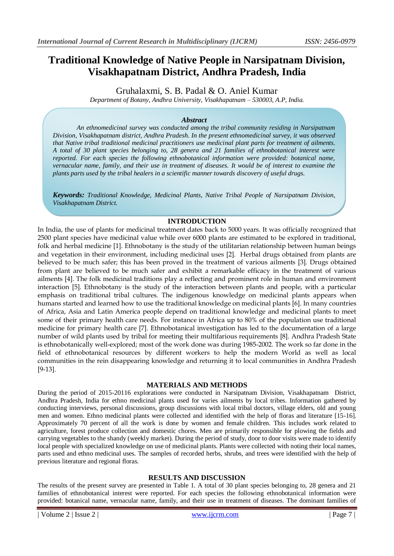# **Traditional Knowledge of Native People in Narsipatnam Division, Visakhapatnam District, Andhra Pradesh, India**

Gruhalaxmi, S. B. Padal & O. Aniel Kumar

*Department of Botany, Andhra University, Visakhapatnam – 530003, A.P, India.*

# *Abstract*

*An ethnomedicinal survey was conducted among the tribal community residing in Narsipatnam Division, Visakhapatnam district, Andhra Pradesh. In the present ethnomedicinal survey, it was observed that Native tribal traditional medicinal practitioners use medicinal plant parts for treatment of ailments. A total of 30 plant species belonging to, 28 genera and 21 families of ethnobotanical interest were reported. For each species the following ethnobotanical information were provided: botanical name, vernacular name, family, and their use in treatment of diseases. It would be of interest to examine the plants parts used by the tribal healers in a scientific manner towards discovery of useful drugs.* 

*Keywords: Traditional Knowledge, Medicinal Plants, Native Tribal People of Narsipatnam Division, Visakhapatnam District.*

## **INTRODUCTION**

In India, the use of plants for medicinal treatment dates back to 5000 years. It was officially recognized that 2500 plant species have medicinal value while over 6000 plants are estimated to be explored in traditional, folk and herbal medicine [1]. Ethnobotany is the study of the utilitarian relationship between human beings and vegetation in their environment, including medicinal uses [2]. Herbal drugs obtained from plants are believed to be much safer; this has been proved in the treatment of various ailments [3]. Drugs obtained from plant are believed to be much safer and exhibit a remarkable efficacy in the treatment of various ailments [4]. The folk medicinal traditions play a reflecting and prominent role in human and environment interaction [5]. Ethnobotany is the study of the interaction between plants and people, with a particular emphasis on traditional tribal cultures. The indigenous knowledge on medicinal plants appears when humans started and learned how to use the traditional knowledge on medicinal plants [6]. In many countries of Africa, Asia and Latin America people depend on traditional knowledge and medicinal plants to meet some of their primary health care needs. For instance in Africa up to 80% of the population use traditional medicine for primary health care [7]. Ethnobotanical investigation has led to the documentation of a large number of wild plants used by tribal for meeting their multifarious requirements [8]. Andhra Pradesh State is ethnobotanically well-explored; most of the work done was during 1985-2002. The work so far done in the field of ethnobotanical resources by different workers to help the modern World as well as local communities in the rein disappearing knowledge and returning it to local communities in Andhra Pradesh [9-13].

## **MATERIALS AND METHODS**

During the period of 2015-20116 explorations were conducted in Narsipatnam Division, Visakhapatnam District, Andhra Pradesh, India for ethno medicinal plants used for varies ailments by local tribes. Information gathered by conducting interviews, personal discussions, group discussions with local tribal doctors, village elders, old and young men and women. Ethno medicinal plants were collected and identified with the help of floras and literature [15-16]. Approximately 70 percent of all the work is done by women and female children. This includes work related to agriculture, forest produce collection and domestic chores. Men are primarily responsible for plowing the fields and carrying vegetables to the shandy (weekly market). During the period of study, door to door visits were made to identify local people with specialized knowledge on use of medicinal plants. Plants were collected with noting their local names, parts used and ethno medicinal uses. The samples of recorded herbs, shrubs, and trees were identified with the help of previous literature and regional floras.

## **RESULTS AND DISCUSSION**

The results of the present survey are presented in Table 1. A total of 30 plant species belonging to, 28 genera and 21 families of ethnobotanical interest were reported. For each species the following ethnobotanical information were provided: botanical name, vernacular name, family, and their use in treatment of diseases. The dominant families of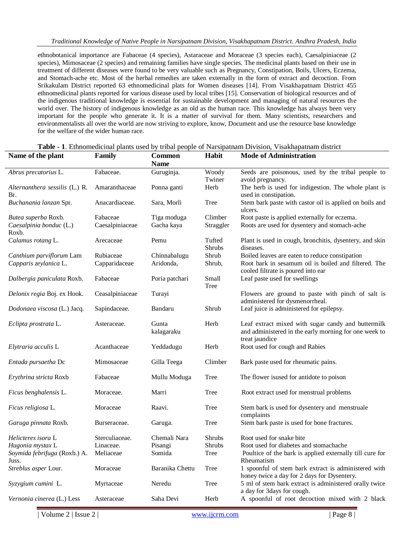ethnobotanical importance are Fabaceae (4 species), Astaraceae and Moraceae (3 species each), Caesalpiniaceae (2 species), Mimosaceae (2 species) and remaining families have single species. The medicinal plants based on their use in treatment of different diseases were found to be very valuable such as Pregnancy, Constipation, Boils, Ulcers, Eczema, and Stomach-ache etc. Most of the herbal remedies are taken externally in the form of extract and decoction. From Srikakulam District reported 63 ethnomedicinal plats for Women diseases [14]. From Visakhapatnam District 455 ethnomedicinal plants reported for various disease used by local tribes [15]. Conservation of biological resources and of the indigenous traditional knowledge is essential for sustainable development and managing of natural resources the world over. The history of indigenous knowledge as an old as the human race. This knowledge has always been very important for the people who generate it. It is a matter of survival for them. Many scientists, researchers and environmentalists all over the world are now striving to explore, know, Document and use the resource base knowledge for the welfare of the wider human race.

| Name of the plant                               | Family          | Common              | Habit            | <b>Mode of Administration</b>                                                                                                 |
|-------------------------------------------------|-----------------|---------------------|------------------|-------------------------------------------------------------------------------------------------------------------------------|
|                                                 |                 | <b>Name</b>         |                  |                                                                                                                               |
| Abrus precatorius L.                            | Fabaceae.       | Guruginja.          | Woody<br>Twiner  | Seeds are poisonous, used by the tribal people to<br>avoid pregnancy.                                                         |
| Alternanthera sessilis (L.) R.                  | Amaranthaceae   | Ponna ganti         | Herb             | The herb is used for indigestion. The whole plant is                                                                          |
| Br.                                             |                 |                     |                  | used in constipation.                                                                                                         |
| Buchanania lanzan Spr.                          | Anacardiaceae.  | Sara, Morli         | Tree             | Stem bark paste with castor oil is applied on boils and<br>ulcers.                                                            |
| Butea superba Roxb.                             | Fabaceae        | Tiga moduga         | Climber          | Root paste is applied externally for eczema.                                                                                  |
| Caesalpinia bonduc (L.)<br>Roxb.                | Caesalpiniaceae | Gacha kaya          | Straggler        | Roots are used for dysentery and stomach-ache                                                                                 |
| Calamus rotang L.                               | Arecaceae       | Pemu                | Tufted<br>Shrubs | Plant is used in cough, bronchitis, dysentery, and skin<br>diseases.                                                          |
| Canthium parviflorum Lam                        | Rubiaceae       | Chinnabalugu        | Shrub            | Boiled leaves are eaten to reduce constipation                                                                                |
| Capparis zeylanica L.                           | Capparidaceae   | Aridonda,           | Shrub,           | Root bark in sesamum oil is boiled and filtered. The<br>cooled filtrate is poured into ear                                    |
| Dalbergia paniculata Roxb.                      | Fabaceae        | Poria patchari      | Small            | Leaf paste used for swellings                                                                                                 |
|                                                 |                 |                     | Tree             |                                                                                                                               |
| Delonix regia Boj. ex Hook.                     | Ceasalpiniaceae | Turayi              |                  | Flowers are ground to paste with pinch of salt is<br>administered for dysmenorrheal.                                          |
| Dodonaea viscosa (L.) Jacq.                     | Sapindaceae.    | Bandaru             | Shrub            | Leaf juice is administered for epilepsy.                                                                                      |
| Eclipta prostrata L.                            | Asteraceae.     | Gunta<br>kalagaraku | Herb             | Leaf extract mixed with sugar candy and buttermilk<br>and administered in the early morning for one week to<br>treat jaundice |
| Elytraria acculis L                             | Acanthaceae     | Yeddadugu           | Herb             | Root used for cough and Rabies                                                                                                |
| Entada pursaetha Dc                             | Mimosaceae      | Gilla Teega         | Climber          | Bark paste used for rheumatic pains.                                                                                          |
| Erythrina stricta Roxb                          | Fabaceae        | Mullu Moduga        | Tree             | The flower is used for antidote to poison                                                                                     |
| Ficus benghalensis L.                           | Moraceae.       | Marri               | Tree             | Root extract used for menstrual problems                                                                                      |
| Ficus religiosa L.                              | Moraceae        | Raavi.              | Tree             | Stem bark is used for dysentery and menstruale<br>complaints                                                                  |
| Garuga pinnata Roxb.                            | Burseraceae.    | Garuga.             | Tree             | Stem bark paste is used for bone fractures.                                                                                   |
| Helicteres isora L                              | Sterculiaceae.  | Chemali Nara        | Shrubs           | Root used for snake bite                                                                                                      |
| Hugonia mystax L                                | Linaceae.       | Pisangi             | <b>Shrubs</b>    | Root used for diabetes and stomachache                                                                                        |
| Soymida febrifuga (Roxb.) A. Meliaceae<br>Juss. |                 | Somida              | <b>Tree</b>      | Poultice of the bark is applied externally till cure for<br>Rheumatism                                                        |
| Streblus asper Lour.                            | Moraceae        | Baranika Chettu     | Tree             | 1 spoonful of stem bark extract is administered with<br>honey twice a day for 2 days for Dysentery.                           |
| Syzygium cumini L.                              | Myrtaceae       | Neredu              | <b>Tree</b>      | 5 ml of stem bark extract is administered orally twice<br>a day for 3days for cough.                                          |
| Vernonia cinerea (L.) Less                      | Asteraceae      | Saha Devi           | Herb             | A spoonful of root decoction mixed with 2 black                                                                               |

#### **Table - 1**. Ethnomedicinal plants used by tribal people of Narsipatnam Division, Visakhapatnam district

| Volume 2 | Issue 2 | www.ijcrm.com | Page 8 |